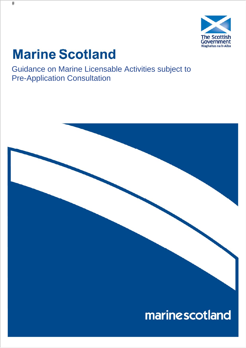

# **Marine Scotland**

Guidance on Marine Licensable Activities subject to Pre-Application Consultation

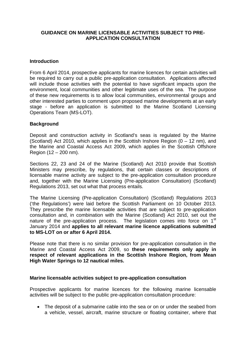## **GUIDANCE ON MARINE LICENSABLE ACTIVITIES SUBJECT TO PRE-APPLICATION CONSULTATION**

## **Introduction**

From 6 April 2014, prospective applicants for marine licences for certain activities will be required to carry out a public pre-application consultation. Applications affected will include those activities with the potential to have significant impacts upon the environment, local communities and other legitimate uses of the sea. The purpose of these new requirements is to allow local communities, environmental groups and other interested parties to comment upon proposed marine developments at an early stage - before an application is submitted to the Marine Scotland Licensing Operations Team (MS-LOT).

# **Background**

Deposit and construction activity in Scotland's seas is regulated by the Marine (Scotland) Act 2010, which applies in the Scottish Inshore Region  $(0 - 12 \text{ nm})$ , and the Marine and Coastal Access Act 2009, which applies in the Scottish Offshore Region (12 – 200 nm).

Sections 22, 23 and 24 of the Marine (Scotland) Act 2010 provide that Scottish Ministers may prescribe, by regulations, that certain classes or descriptions of licensable marine activity are subject to the pre-application consultation procedure and, together with the Marine Licensing (Pre-application Consultation) (Scotland) Regulations 2013, set out what that process entails.

The Marine Licensing (Pre-application Consultation) (Scotland) Regulations 2013 ('the Regulations') were laid before the Scottish Parliament on 10 October 2013. They prescribe the marine licensable activities that are subject to pre-application consultation and, in combination with the Marine (Scotland) Act 2010, set out the nature of the pre-application process. The legislation comes into force on 1<sup>st</sup> January 2014 and **applies to all relevant marine licence applications submitted to MS-LOT on or after 6 April 2014.**

Please note that there is no similar provision for pre-application consultation in the Marine and Coastal Access Act 2009, so **these requirements only apply in respect of relevant applications in the Scottish Inshore Region, from Mean High Water Springs to 12 nautical miles.** 

#### **Marine licensable activities subject to pre-application consultation**

Prospective applicants for marine licences for the following marine licensable activities will be subject to the public pre-application consultation procedure:

• The deposit of a submarine cable into the sea or on or under the seabed from a vehicle, vessel, aircraft, marine structure or floating container, where that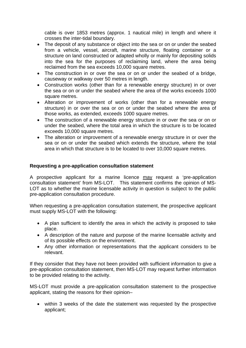cable is over 1853 metres (approx. 1 nautical mile) in length and where it crosses the inter-tidal boundary.

- The deposit of any substance or object into the sea or on or under the seabed from a vehicle, vessel, aircraft, marine structure, floating container or a structure on land constructed or adapted wholly or mainly for depositing solids into the sea for the purposes of reclaiming land, where the area being reclaimed from the sea exceeds 10,000 square metres.
- The construction in or over the sea or on or under the seabed of a bridge, causeway or walkway over 50 metres in length.
- Construction works (other than for a renewable energy structure) in or over the sea or on or under the seabed where the area of the works exceeds 1000 square metres.
- Alteration or improvement of works (other than for a renewable energy structure) in or over the sea or on or under the seabed where the area of those works, as extended, exceeds 1000 square metres.
- The construction of a renewable energy structure in or over the sea or on or under the seabed, where the total area in which the structure is to be located exceeds 10,000 square metres.
- The alteration or improvement of a renewable energy structure in or over the sea or on or under the seabed which extends the structure, where the total area in which that structure is to be located to over 10,000 square metres.

# **Requesting a pre-application consultation statement**

A prospective applicant for a marine licence may request a 'pre-application consultation statement' from MS-LOT. This statement confirms the opinion of MS-LOT as to whether the marine licensable activity in question is subject to the public pre-application consultation procedure.

When requesting a pre-application consultation statement, the prospective applicant must supply MS-LOT with the following:

- A plan sufficient to identify the area in which the activity is proposed to take place.
- A description of the nature and purpose of the marine licensable activity and of its possible effects on the environment.
- Any other information or representations that the applicant considers to be relevant.

If they consider that they have not been provided with sufficient information to give a pre-application consultation statement, then MS-LOT may request further information to be provided relating to the activity.

MS-LOT must provide a pre-application consultation statement to the prospective applicant, stating the reasons for their opinion–

 within 3 weeks of the date the statement was requested by the prospective applicant;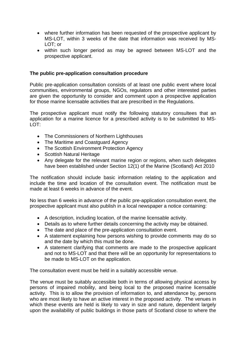- where further information has been requested of the prospective applicant by MS-LOT, within 3 weeks of the date that information was received by MS-LOT; or
- within such longer period as may be agreed between MS-LOT and the prospective applicant.

# **The public pre-application consultation procedure**

Public pre-application consultation consists of at least one public event where local communities, environmental groups, NGOs, regulators and other interested parties are given the opportunity to consider and comment upon a prospective application for those marine licensable activities that are prescribed in the Regulations.

The prospective applicant must notify the following statutory consultees that an application for a marine licence for a prescribed activity is to be submitted to MS-LOT:

- The Commissioners of Northern Lighthouses
- The Maritime and Coastguard Agency
- The Scottish Environment Protection Agency
- Scottish Natural Heritage
- Any delegate for the relevant marine region or regions, when such delegates have been established under Section 12(1) of the Marine (Scotland) Act 2010

The notification should include basic information relating to the application and include the time and location of the consultation event. The notification must be made at least 6 weeks in advance of the event.

No less than 6 weeks in advance of the public pre-application consultation event, the prospective applicant must also publish in a local newspaper a notice containing:

- A description, including location, of the marine licensable activity.
- Details as to where further details concerning the activity may be obtained.
- The date and place of the pre-application consultation event.
- A statement explaining how persons wishing to provide comments may do so and the date by which this must be done.
- A statement clarifying that comments are made to the prospective applicant and not to MS-LOT and that there will be an opportunity for representations to be made to MS-LOT on the application.

The consultation event must be held in a suitably accessible venue.

The venue must be suitably accessible both in terms of allowing physical access by persons of impaired mobility, and being local to the proposed marine licensable activity. This is to allow the provision of information to, and attendance by, persons who are most likely to have an active interest in the proposed activity. The venues in which these events are held is likely to vary in size and nature, dependent largely upon the availability of public buildings in those parts of Scotland close to where the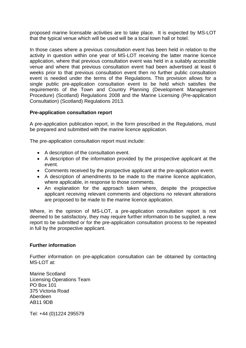proposed marine licensable activities are to take place. It is expected by MS-LOT that the typical venue which will be used will be a local town hall or hotel.

In those cases where a previous consultation event has been held in relation to the activity in question within one year of MS-LOT receiving the latter marine licence application, where that previous consultation event was held in a suitably accessible venue and where that previous consultation event had been advertised at least 6 weeks prior to that previous consultation event then no further public consultation event is needed under the terms of the Regulations. This provision allows for a single public pre-application consultation event to be held which satisfies the requirements of the Town and Country Planning (Development Management Procedure) (Scotland) Regulations 2008 and the Marine Licensing (Pre-application Consultation) (Scotland) Regulations 2013.

# **Pre-application consultation report**

A pre-application publication report, in the form prescribed in the Regulations, must be prepared and submitted with the marine licence application.

The pre-application consultation report must include:

- A description of the consultation event.
- A description of the information provided by the prospective applicant at the event.
- Comments received by the prospective applicant at the pre-application event.
- A description of amendments to be made to the marine licence application, where applicable, in response to those comments.
- An explanation for the approach taken where, despite the prospective applicant receiving relevant comments and objections no relevant alterations are proposed to be made to the marine licence application.

Where, in the opinion of MS-LOT, a pre-application consultation report is not deemed to be satisfactory, they may require further information to be supplied, a new report to be submitted or for the pre-application consultation process to be repeated in full by the prospective applicant.

# **Further information**

Further information on pre-application consultation can be obtained by contacting MS-LOT at:

Marine Scotland Licensing Operations Team PO Box 101 375 Victoria Road Aberdeen AB11 9DB

Tel: +44 (0)1224 295579